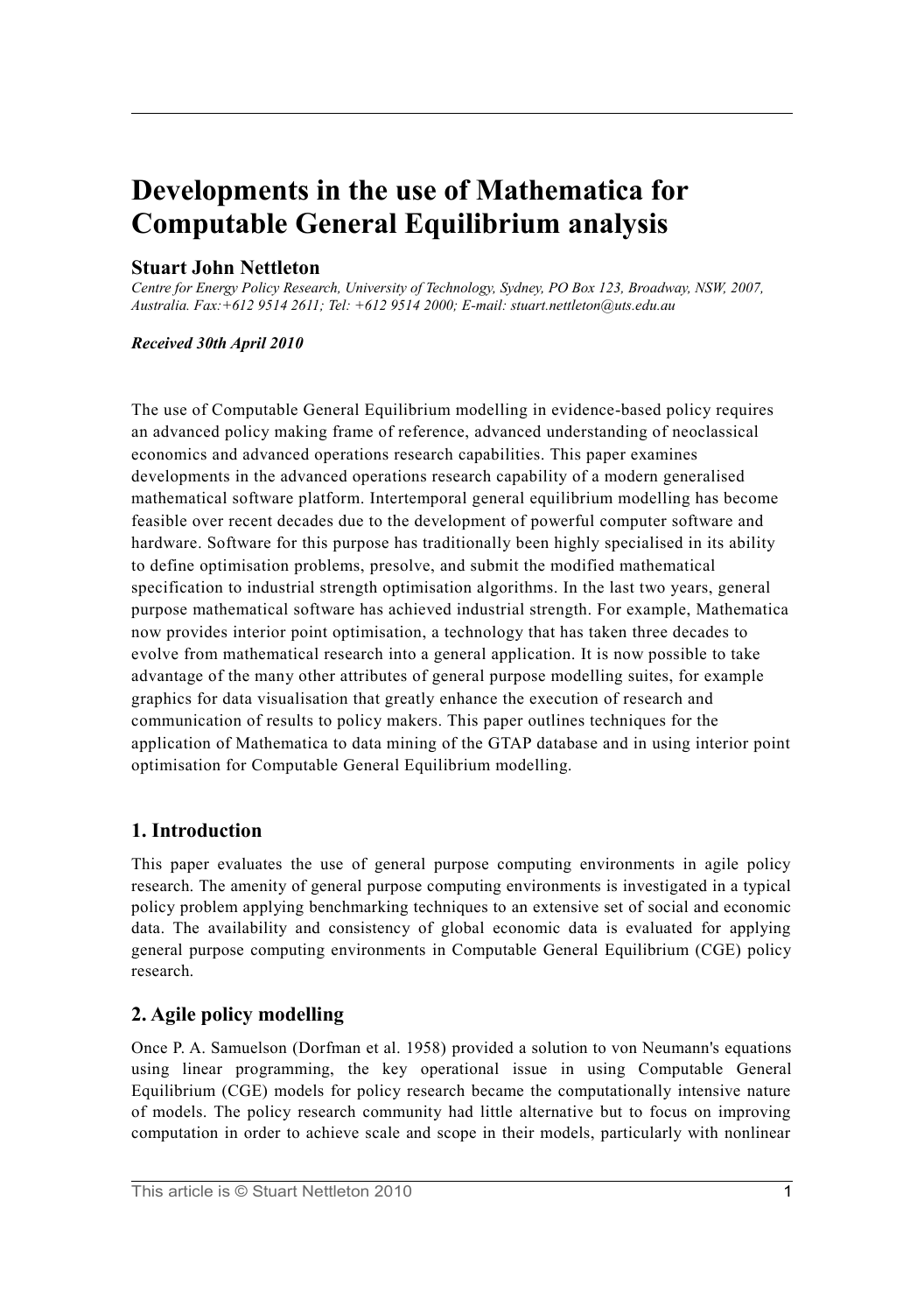# **Developments in the use of Mathematica for Computable General Equilibrium analysis**

## **Stuart John Nettleton**

*Centre for Energy Policy Research, University of Technology, Sydney, PO Box 123, Broadway, NSW, 2007, Australia. Fax:+612 9514 2611; Tel: +612 9514 2000; E-mail: stuart.nettleton@uts.edu.au*

#### *Received 30th April 2010*

The use of Computable General Equilibrium modelling in evidence-based policy requires an advanced policy making frame of reference, advanced understanding of neoclassical economics and advanced operations research capabilities. This paper examines developments in the advanced operations research capability of a modern generalised mathematical software platform. Intertemporal general equilibrium modelling has become feasible over recent decades due to the development of powerful computer software and hardware. Software for this purpose has traditionally been highly specialised in its ability to define optimisation problems, presolve, and submit the modified mathematical specification to industrial strength optimisation algorithms. In the last two years, general purpose mathematical software has achieved industrial strength. For example, Mathematica now provides interior point optimisation, a technology that has taken three decades to evolve from mathematical research into a general application. It is now possible to take advantage of the many other attributes of general purpose modelling suites, for example graphics for data visualisation that greatly enhance the execution of research and communication of results to policy makers. This paper outlines techniques for the application of Mathematica to data mining of the GTAP database and in using interior point optimisation for Computable General Equilibrium modelling.

## **1. Introduction**

This paper evaluates the use of general purpose computing environments in agile policy research. The amenity of general purpose computing environments is investigated in a typical policy problem applying benchmarking techniques to an extensive set of social and economic data. The availability and consistency of global economic data is evaluated for applying general purpose computing environments in Computable General Equilibrium (CGE) policy research.

## **2. Agile policy modelling**

Once P. A. Samuelson (Dorfman et al. 1958) provided a solution to von Neumann's equations using linear programming, the key operational issue in using Computable General Equilibrium (CGE) models for policy research became the computationally intensive nature of models. The policy research community had little alternative but to focus on improving computation in order to achieve scale and scope in their models, particularly with nonlinear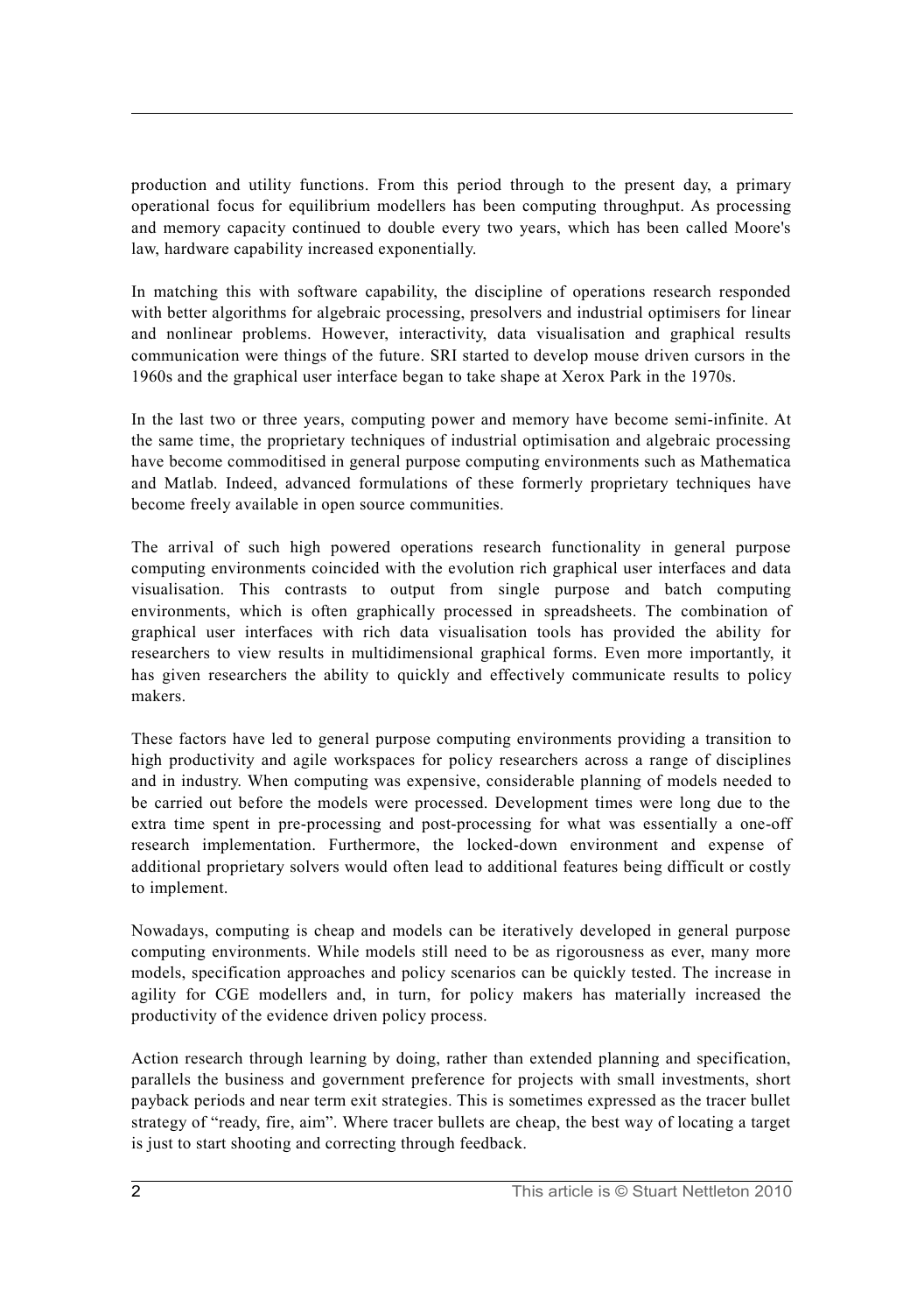production and utility functions. From this period through to the present day, a primary operational focus for equilibrium modellers has been computing throughput. As processing and memory capacity continued to double every two years, which has been called Moore's law, hardware capability increased exponentially.

In matching this with software capability, the discipline of operations research responded with better algorithms for algebraic processing, presolvers and industrial optimisers for linear and nonlinear problems. However, interactivity, data visualisation and graphical results communication were things of the future. SRI started to develop mouse driven cursors in the 1960s and the graphical user interface began to take shape at Xerox Park in the 1970s.

In the last two or three years, computing power and memory have become semi-infinite. At the same time, the proprietary techniques of industrial optimisation and algebraic processing have become commoditised in general purpose computing environments such as Mathematica and Matlab. Indeed, advanced formulations of these formerly proprietary techniques have become freely available in open source communities.

The arrival of such high powered operations research functionality in general purpose computing environments coincided with the evolution rich graphical user interfaces and data visualisation. This contrasts to output from single purpose and batch computing environments, which is often graphically processed in spreadsheets. The combination of graphical user interfaces with rich data visualisation tools has provided the ability for researchers to view results in multidimensional graphical forms. Even more importantly, it has given researchers the ability to quickly and effectively communicate results to policy makers.

These factors have led to general purpose computing environments providing a transition to high productivity and agile workspaces for policy researchers across a range of disciplines and in industry. When computing was expensive, considerable planning of models needed to be carried out before the models were processed. Development times were long due to the extra time spent in pre-processing and post-processing for what was essentially a one-off research implementation. Furthermore, the locked-down environment and expense of additional proprietary solvers would often lead to additional features being difficult or costly to implement.

Nowadays, computing is cheap and models can be iteratively developed in general purpose computing environments. While models still need to be as rigorousness as ever, many more models, specification approaches and policy scenarios can be quickly tested. The increase in agility for CGE modellers and, in turn, for policy makers has materially increased the productivity of the evidence driven policy process.

Action research through learning by doing, rather than extended planning and specification, parallels the business and government preference for projects with small investments, short payback periods and near term exit strategies. This is sometimes expressed as the tracer bullet strategy of "ready, fire, aim". Where tracer bullets are cheap, the best way of locating a target is just to start shooting and correcting through feedback.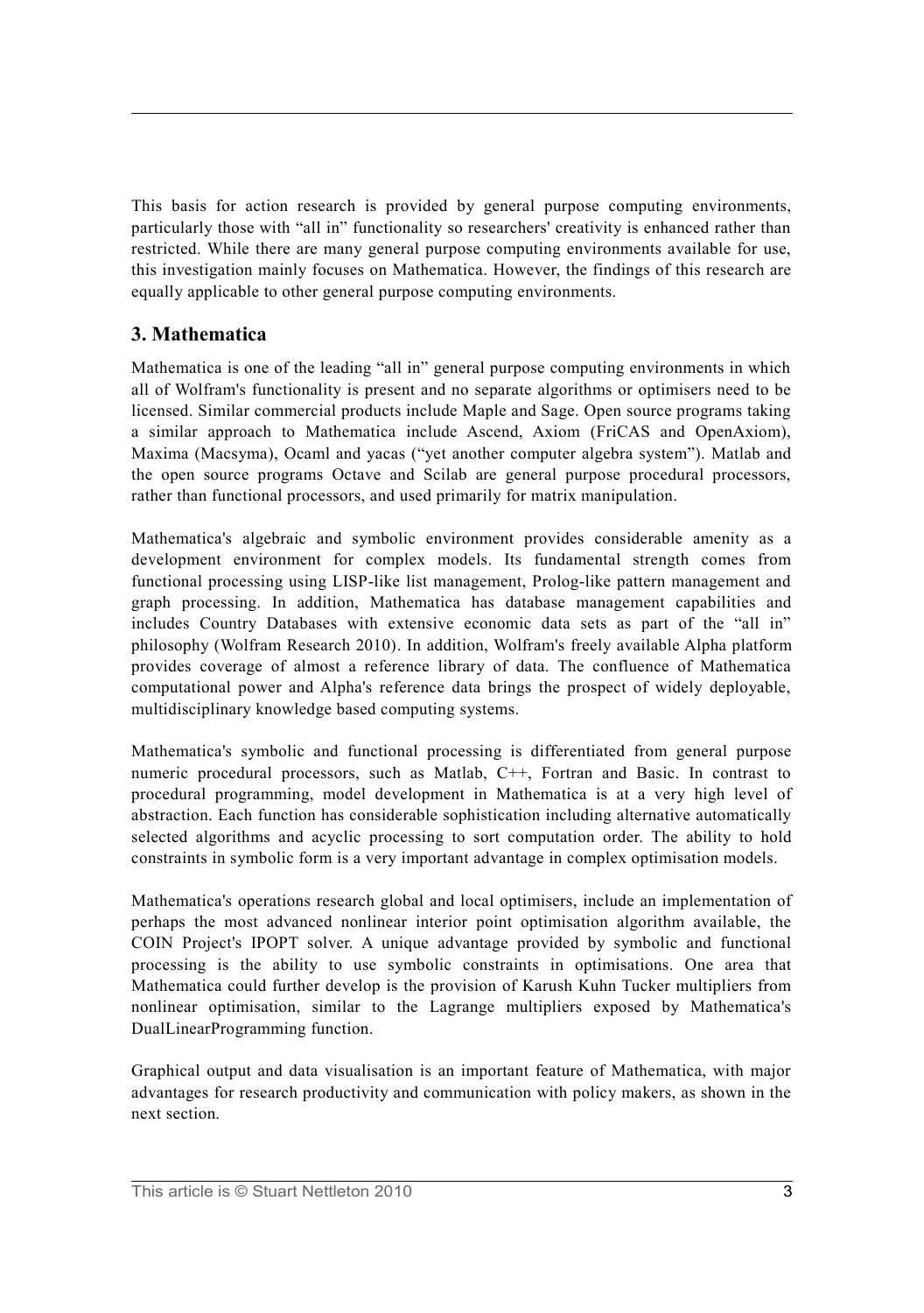This basis for action research is provided by general purpose computing environments, particularly those with "all in" functionality so researchers' creativity is enhanced rather than restricted. While there are many general purpose computing environments available for use, this investigation mainly focuses on Mathematica. However, the findings of this research are equally applicable to other general purpose computing environments.

# **3. Mathematica**

Mathematica is one of the leading "all in" general purpose computing environments in which all of Wolfram's functionality is present and no separate algorithms or optimisers need to be licensed. Similar commercial products include Maple and Sage. Open source programs taking a similar approach to Mathematica include Ascend, Axiom (FriCAS and OpenAxiom), Maxima (Macsyma), Ocaml and yacas ("yet another computer algebra system"). Matlab and the open source programs Octave and Scilab are general purpose procedural processors, rather than functional processors, and used primarily for matrix manipulation.

Mathematica's algebraic and symbolic environment provides considerable amenity as a development environment for complex models. Its fundamental strength comes from functional processing using LISP-like list management, Prolog-like pattern management and graph processing. In addition, Mathematica has database management capabilities and includes Country Databases with extensive economic data sets as part of the "all in" philosophy (Wolfram Research 2010). In addition, Wolfram's freely available Alpha platform provides coverage of almost a reference library of data. The confluence of Mathematica computational power and Alpha's reference data brings the prospect of widely deployable, multidisciplinary knowledge based computing systems.

Mathematica's symbolic and functional processing is differentiated from general purpose numeric procedural processors, such as Matlab, C++, Fortran and Basic. In contrast to procedural programming, model development in Mathematica is at a very high level of abstraction. Each function has considerable sophistication including alternative automatically selected algorithms and acyclic processing to sort computation order. The ability to hold constraints in symbolic form is a very important advantage in complex optimisation models.

Mathematica's operations research global and local optimisers, include an implementation of perhaps the most advanced nonlinear interior point optimisation algorithm available, the COIN Project's IPOPT solver. A unique advantage provided by symbolic and functional processing is the ability to use symbolic constraints in optimisations. One area that Mathematica could further develop is the provision of Karush Kuhn Tucker multipliers from nonlinear optimisation, similar to the Lagrange multipliers exposed by Mathematica's DualLinearProgramming function.

Graphical output and data visualisation is an important feature of Mathematica, with major advantages for research productivity and communication with policy makers, as shown in the next section.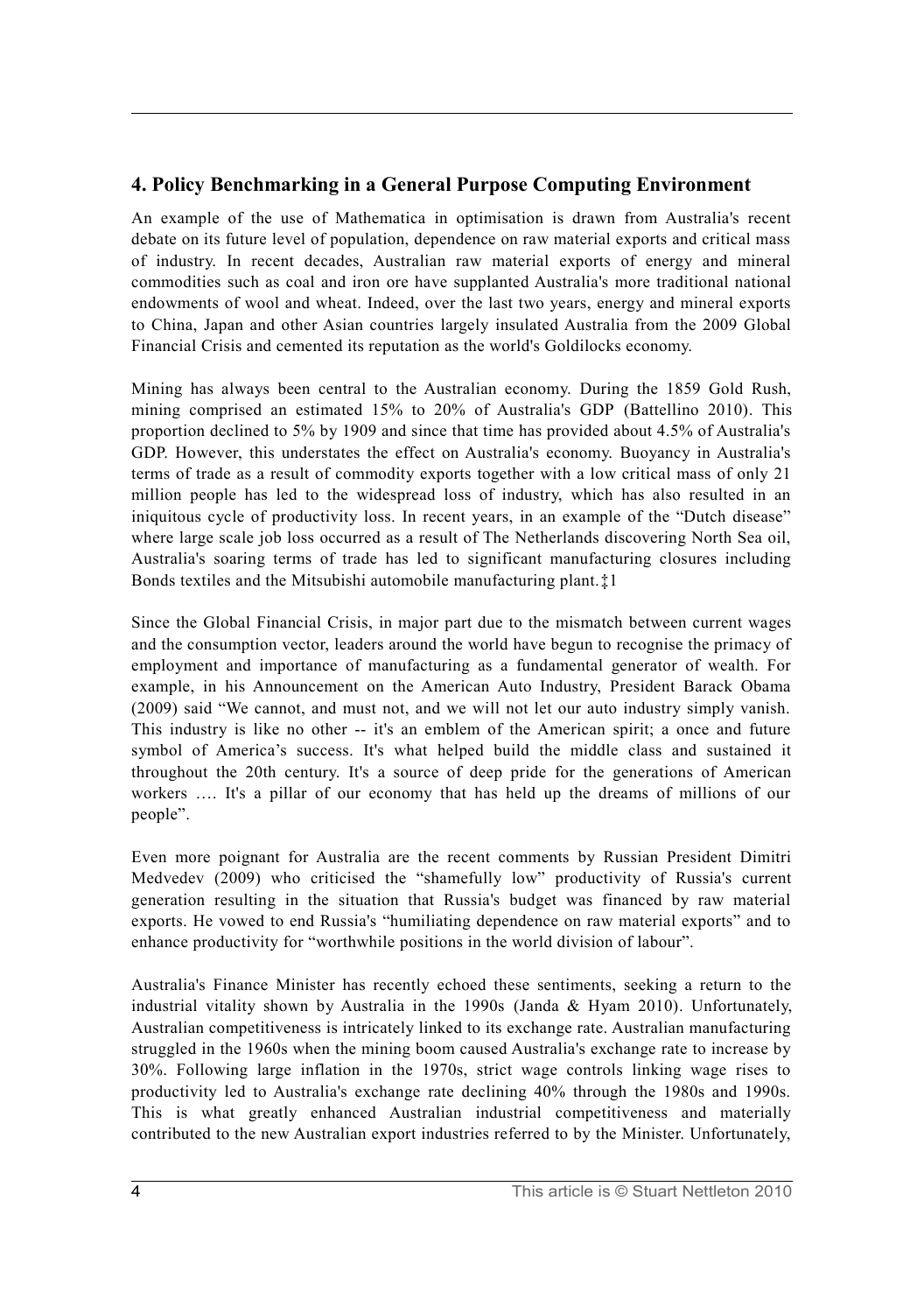# **4. Policy Benchmarking in a General Purpose Computing Environment**

An example of the use of Mathematica in optimisation is drawn from Australia's recent debate on its future level of population, dependence on raw material exports and critical mass of industry. In recent decades, Australian raw material exports of energy and mineral commodities such as coal and iron ore have supplanted Australia's more traditional national endowments of wool and wheat. Indeed, over the last two years, energy and mineral exports to China, Japan and other Asian countries largely insulated Australia from the 2009 Global Financial Crisis and cemented its reputation as the world's Goldilocks economy.

Mining has always been central to the Australian economy. During the 1859 Gold Rush, mining comprised an estimated 15% to 20% of Australia's GDP (Battellino 2010). This proportion declined to 5% by 1909 and since that time has provided about 4.5% of Australia's GDP. However, this understates the effect on Australia's economy. Buoyancy in Australia's terms of trade as a result of commodity exports together with a low critical mass of only 21 million people has led to the widespread loss of industry, which has also resulted in an iniquitous cycle of productivity loss. In recent years, in an example of the "Dutch disease" where large scale job loss occurred as a result of The Netherlands discovering North Sea oil, Australia's soaring terms of trade has led to significant manufacturing closures including Bonds textiles and the Mitsubishi automobile manufacturing plant.‡1

Since the Global Financial Crisis, in major part due to the mismatch between current wages and the consumption vector, leaders around the world have begun to recognise the primacy of employment and importance of manufacturing as a fundamental generator of wealth. For example, in his Announcement on the American Auto Industry, President Barack Obama (2009) said "We cannot, and must not, and we will not let our auto industry simply vanish. This industry is like no other -- it's an emblem of the American spirit; a once and future symbol of America's success. It's what helped build the middle class and sustained it throughout the 20th century. It's a source of deep pride for the generations of American workers …. It's a pillar of our economy that has held up the dreams of millions of our people".

Even more poignant for Australia are the recent comments by Russian President Dimitri Medvedev (2009) who criticised the "shamefully low" productivity of Russia's current generation resulting in the situation that Russia's budget was financed by raw material exports. He vowed to end Russia's "humiliating dependence on raw material exports" and to enhance productivity for "worthwhile positions in the world division of labour".

Australia's Finance Minister has recently echoed these sentiments, seeking a return to the industrial vitality shown by Australia in the 1990s (Janda & Hyam 2010). Unfortunately, Australian competitiveness is intricately linked to its exchange rate. Australian manufacturing struggled in the 1960s when the mining boom caused Australia's exchange rate to increase by 30%. Following large inflation in the 1970s, strict wage controls linking wage rises to productivity led to Australia's exchange rate declining 40% through the 1980s and 1990s. This is what greatly enhanced Australian industrial competitiveness and materially contributed to the new Australian export industries referred to by the Minister. Unfortunately,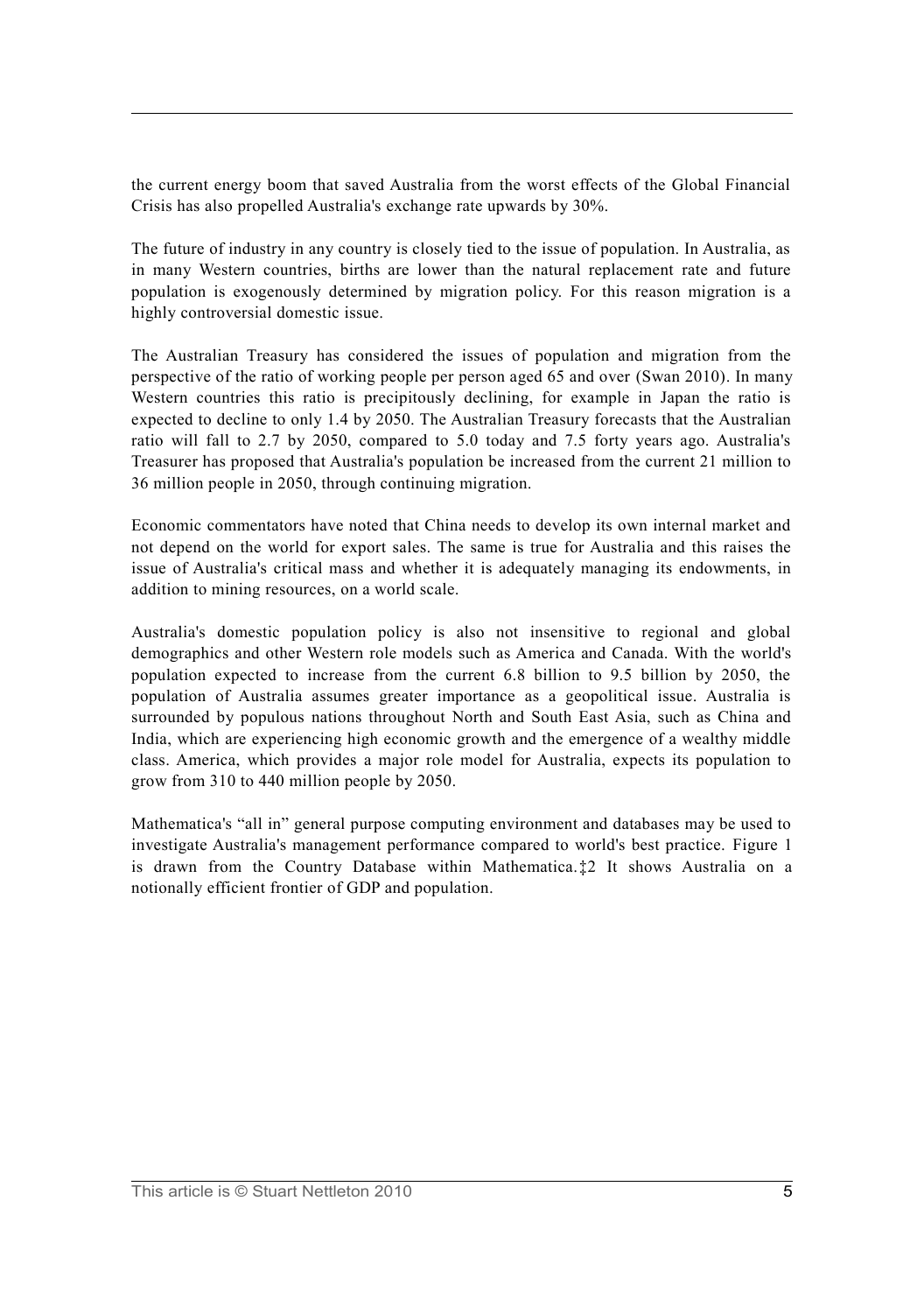the current energy boom that saved Australia from the worst effects of the Global Financial Crisis has also propelled Australia's exchange rate upwards by 30%.

The future of industry in any country is closely tied to the issue of population. In Australia, as in many Western countries, births are lower than the natural replacement rate and future population is exogenously determined by migration policy. For this reason migration is a highly controversial domestic issue.

The Australian Treasury has considered the issues of population and migration from the perspective of the ratio of working people per person aged 65 and over (Swan 2010). In many Western countries this ratio is precipitously declining, for example in Japan the ratio is expected to decline to only 1.4 by 2050. The Australian Treasury forecasts that the Australian ratio will fall to 2.7 by 2050, compared to 5.0 today and 7.5 forty years ago. Australia's Treasurer has proposed that Australia's population be increased from the current 21 million to 36 million people in 2050, through continuing migration.

Economic commentators have noted that China needs to develop its own internal market and not depend on the world for export sales. The same is true for Australia and this raises the issue of Australia's critical mass and whether it is adequately managing its endowments, in addition to mining resources, on a world scale.

Australia's domestic population policy is also not insensitive to regional and global demographics and other Western role models such as America and Canada. With the world's population expected to increase from the current 6.8 billion to 9.5 billion by 2050, the population of Australia assumes greater importance as a geopolitical issue. Australia is surrounded by populous nations throughout North and South East Asia, such as China and India, which are experiencing high economic growth and the emergence of a wealthy middle class. America, which provides a major role model for Australia, expects its population to grow from 310 to 440 million people by 2050.

Mathematica's "all in" general purpose computing environment and databases may be used to investigate Australia's management performance compared to world's best practice. Figure 1 is drawn from the Country Database within Mathematica.‡2 It shows Australia on a notionally efficient frontier of GDP and population.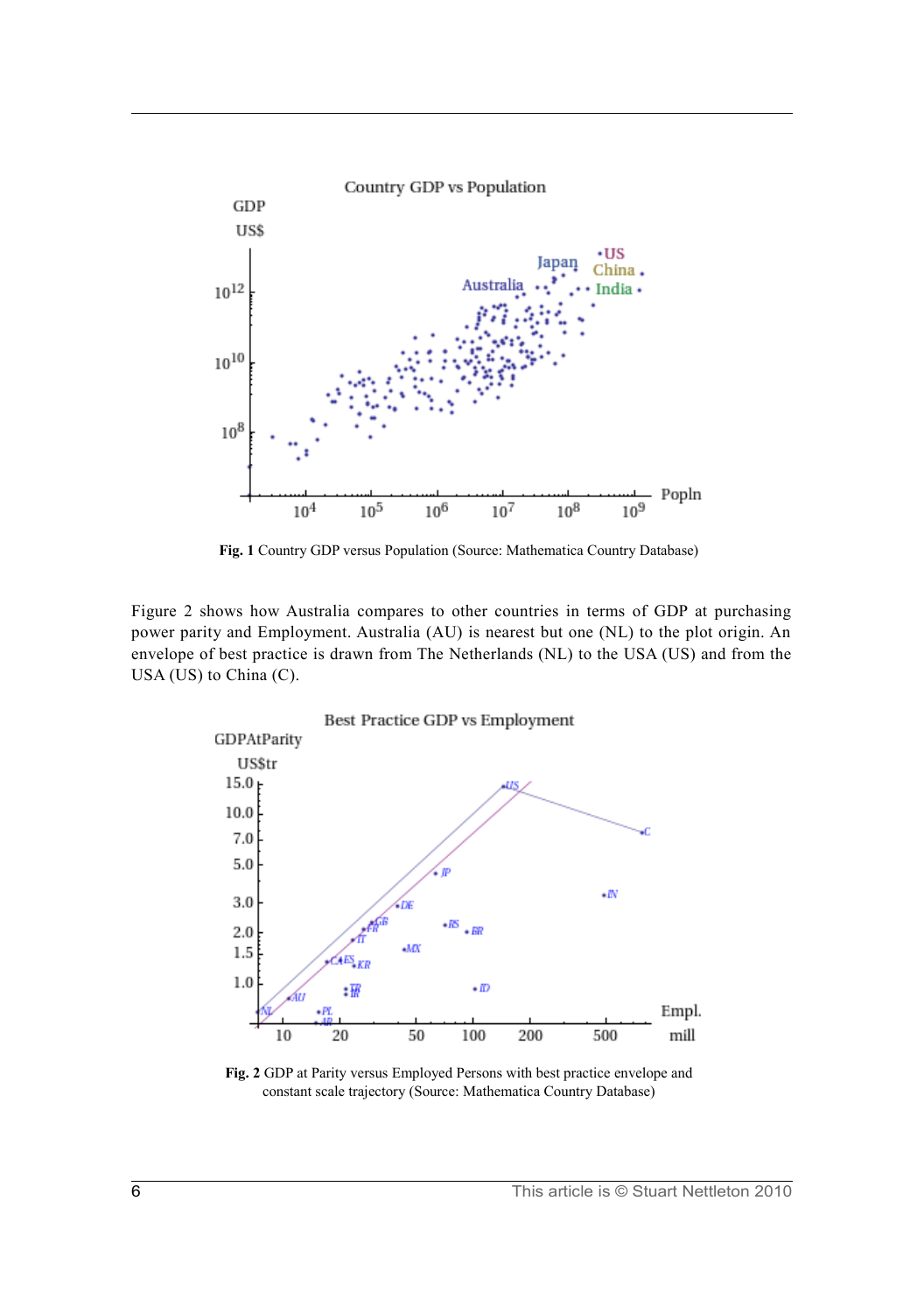

**Fig. 1** Country GDP versus Population (Source: Mathematica Country Database)

Figure 2 shows how Australia compares to other countries in terms of GDP at purchasing power parity and Employment. Australia (AU) is nearest but one (NL) to the plot origin. An envelope of best practice is drawn from The Netherlands (NL) to the USA (US) and from the USA (US) to China (C).



**Fig. 2** GDP at Parity versus Employed Persons with best practice envelope and constant scale trajectory (Source: Mathematica Country Database)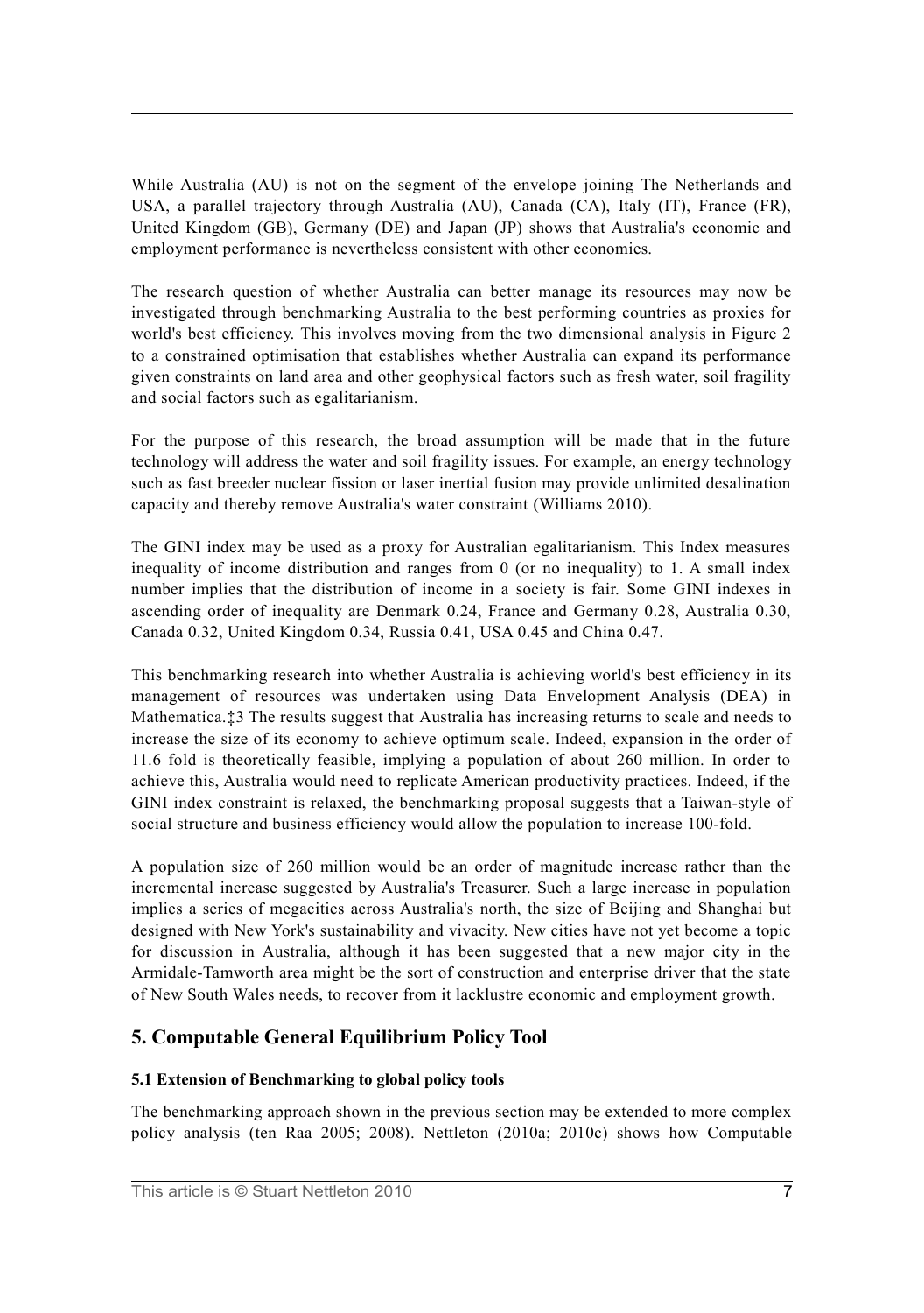While Australia (AU) is not on the segment of the envelope joining The Netherlands and USA, a parallel trajectory through Australia (AU), Canada (CA), Italy (IT), France (FR), United Kingdom (GB), Germany (DE) and Japan (JP) shows that Australia's economic and employment performance is nevertheless consistent with other economies.

The research question of whether Australia can better manage its resources may now be investigated through benchmarking Australia to the best performing countries as proxies for world's best efficiency. This involves moving from the two dimensional analysis in Figure 2 to a constrained optimisation that establishes whether Australia can expand its performance given constraints on land area and other geophysical factors such as fresh water, soil fragility and social factors such as egalitarianism.

For the purpose of this research, the broad assumption will be made that in the future technology will address the water and soil fragility issues. For example, an energy technology such as fast breeder nuclear fission or laser inertial fusion may provide unlimited desalination capacity and thereby remove Australia's water constraint (Williams 2010).

The GINI index may be used as a proxy for Australian egalitarianism. This Index measures inequality of income distribution and ranges from 0 (or no inequality) to 1. A small index number implies that the distribution of income in a society is fair. Some GINI indexes in ascending order of inequality are Denmark 0.24, France and Germany 0.28, Australia 0.30, Canada 0.32, United Kingdom 0.34, Russia 0.41, USA 0.45 and China 0.47.

This benchmarking research into whether Australia is achieving world's best efficiency in its management of resources was undertaken using Data Envelopment Analysis (DEA) in Mathematica.‡3 The results suggest that Australia has increasing returns to scale and needs to increase the size of its economy to achieve optimum scale. Indeed, expansion in the order of 11.6 fold is theoretically feasible, implying a population of about 260 million. In order to achieve this, Australia would need to replicate American productivity practices. Indeed, if the GINI index constraint is relaxed, the benchmarking proposal suggests that a Taiwan-style of social structure and business efficiency would allow the population to increase 100-fold.

A population size of 260 million would be an order of magnitude increase rather than the incremental increase suggested by Australia's Treasurer. Such a large increase in population implies a series of megacities across Australia's north, the size of Beijing and Shanghai but designed with New York's sustainability and vivacity. New cities have not yet become a topic for discussion in Australia, although it has been suggested that a new major city in the Armidale-Tamworth area might be the sort of construction and enterprise driver that the state of New South Wales needs, to recover from it lacklustre economic and employment growth.

# **5. Computable General Equilibrium Policy Tool**

## **5.1 Extension of Benchmarking to global policy tools**

The benchmarking approach shown in the previous section may be extended to more complex policy analysis (ten Raa 2005; 2008). Nettleton (2010a; 2010c) shows how Computable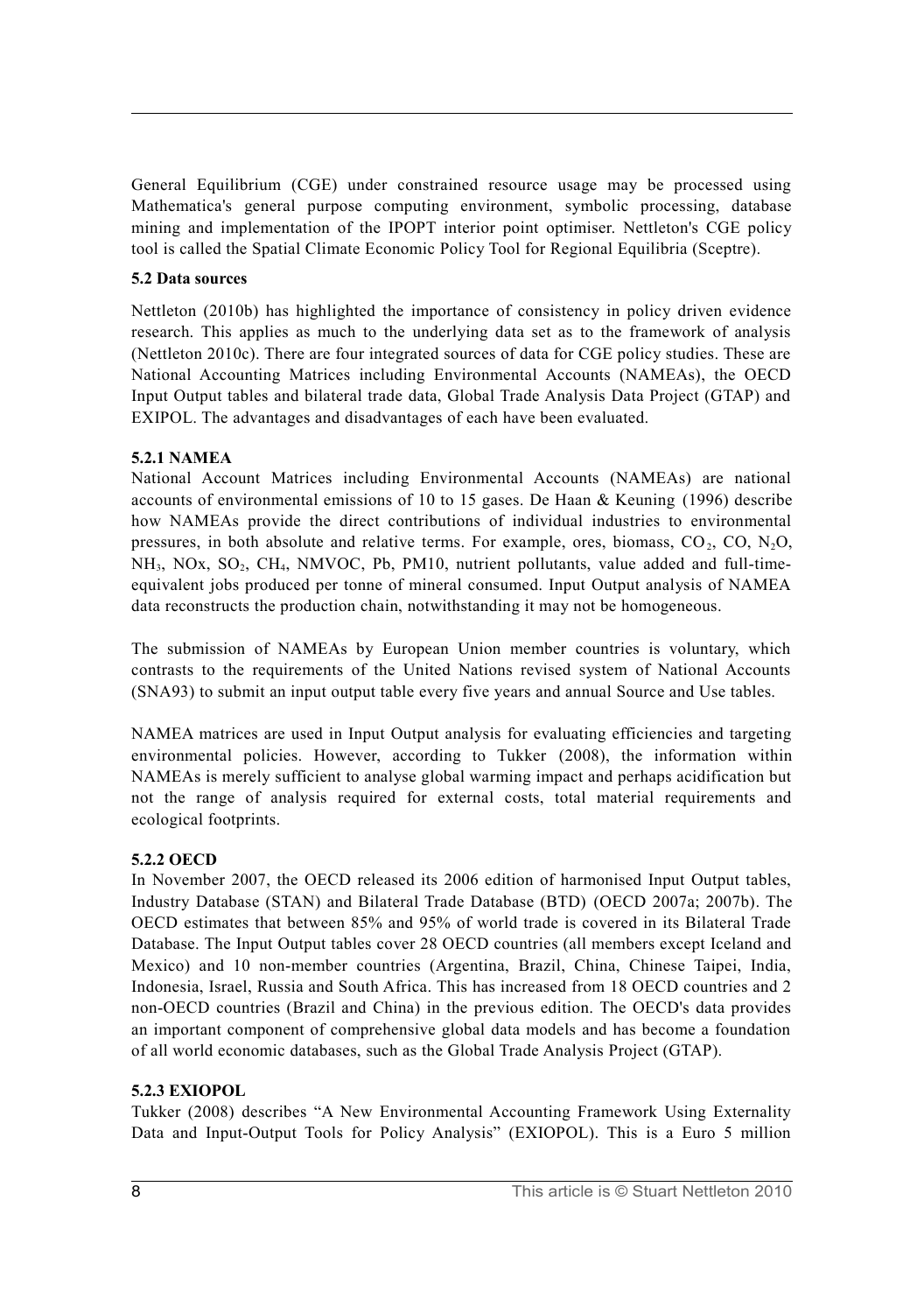General Equilibrium (CGE) under constrained resource usage may be processed using Mathematica's general purpose computing environment, symbolic processing, database mining and implementation of the IPOPT interior point optimiser. Nettleton's CGE policy tool is called the Spatial Climate Economic Policy Tool for Regional Equilibria (Sceptre).

#### **5.2 Data sources**

Nettleton (2010b) has highlighted the importance of consistency in policy driven evidence research. This applies as much to the underlying data set as to the framework of analysis (Nettleton 2010c). There are four integrated sources of data for CGE policy studies. These are National Accounting Matrices including Environmental Accounts (NAMEAs), the OECD Input Output tables and bilateral trade data, Global Trade Analysis Data Project (GTAP) and EXIPOL. The advantages and disadvantages of each have been evaluated.

#### **5.2.1 NAMEA**

National Account Matrices including Environmental Accounts (NAMEAs) are national accounts of environmental emissions of 10 to 15 gases. De Haan & Keuning (1996) describe how NAMEAs provide the direct contributions of individual industries to environmental pressures, in both absolute and relative terms. For example, ores, biomass,  $CO_2$ ,  $CO$ ,  $N_2O$ ,  $NH<sub>3</sub>$ , NOx, SO<sub>2</sub>, CH<sub>4</sub>, NMVOC, Pb, PM10, nutrient pollutants, value added and full-timeequivalent jobs produced per tonne of mineral consumed. Input Output analysis of NAMEA data reconstructs the production chain, notwithstanding it may not be homogeneous.

The submission of NAMEAs by European Union member countries is voluntary, which contrasts to the requirements of the United Nations revised system of National Accounts (SNA93) to submit an input output table every five years and annual Source and Use tables.

NAMEA matrices are used in Input Output analysis for evaluating efficiencies and targeting environmental policies. However, according to Tukker (2008), the information within NAMEAs is merely sufficient to analyse global warming impact and perhaps acidification but not the range of analysis required for external costs, total material requirements and ecological footprints.

#### **5.2.2 OECD**

In November 2007, the OECD released its 2006 edition of harmonised Input Output tables, Industry Database (STAN) and Bilateral Trade Database (BTD) (OECD 2007a; 2007b). The OECD estimates that between 85% and 95% of world trade is covered in its Bilateral Trade Database. The Input Output tables cover 28 OECD countries (all members except Iceland and Mexico) and 10 non-member countries (Argentina, Brazil, China, Chinese Taipei, India, Indonesia, Israel, Russia and South Africa. This has increased from 18 OECD countries and 2 non-OECD countries (Brazil and China) in the previous edition. The OECD's data provides an important component of comprehensive global data models and has become a foundation of all world economic databases, such as the Global Trade Analysis Project (GTAP).

#### **5.2.3 EXIOPOL**

Tukker (2008) describes "A New Environmental Accounting Framework Using Externality Data and Input-Output Tools for Policy Analysis" (EXIOPOL). This is a Euro 5 million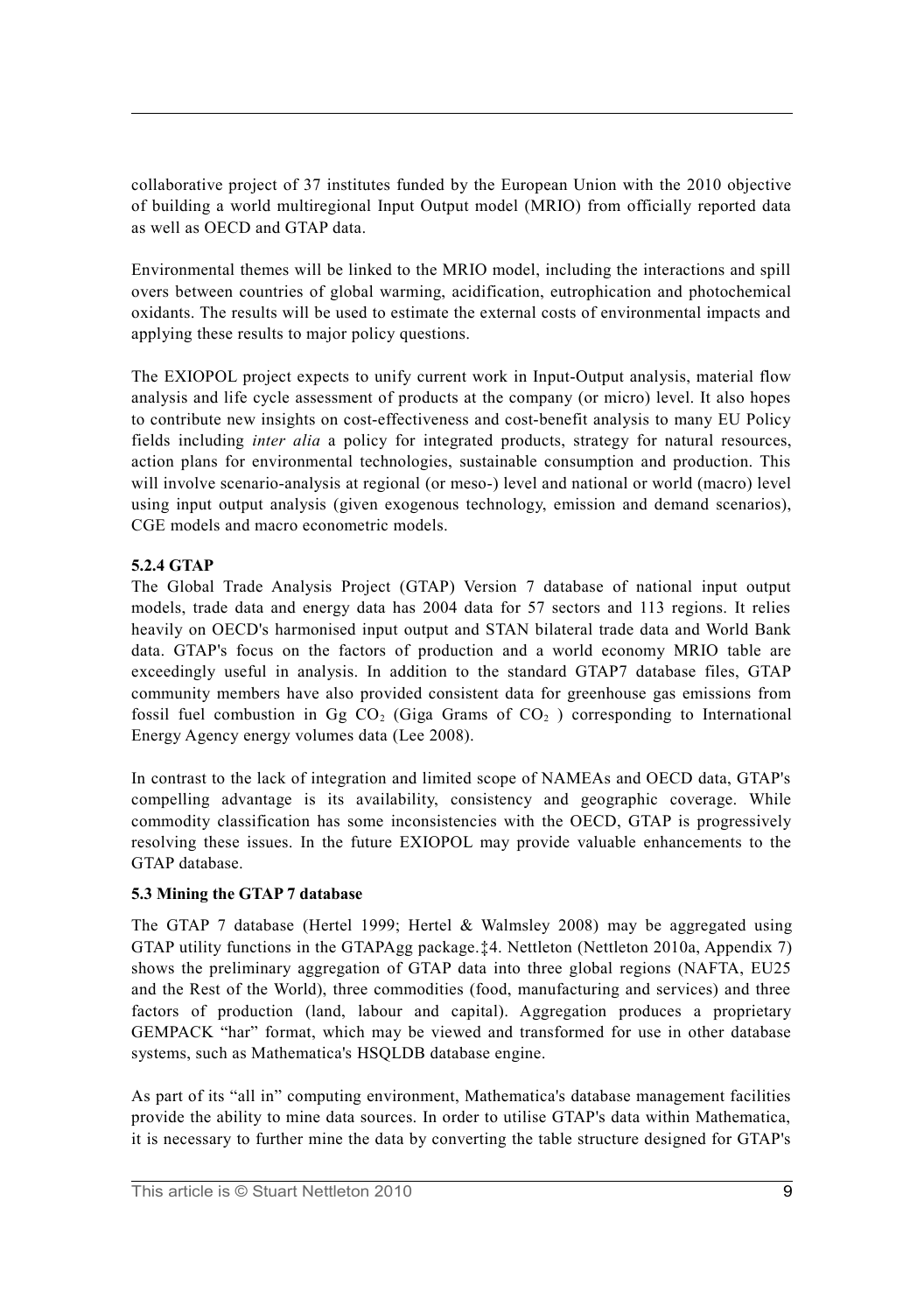collaborative project of 37 institutes funded by the European Union with the 2010 objective of building a world multiregional Input Output model (MRIO) from officially reported data as well as OECD and GTAP data.

Environmental themes will be linked to the MRIO model, including the interactions and spill overs between countries of global warming, acidification, eutrophication and photochemical oxidants. The results will be used to estimate the external costs of environmental impacts and applying these results to major policy questions.

The EXIOPOL project expects to unify current work in Input-Output analysis, material flow analysis and life cycle assessment of products at the company (or micro) level. It also hopes to contribute new insights on cost-effectiveness and cost-benefit analysis to many EU Policy fields including *inter alia* a policy for integrated products, strategy for natural resources, action plans for environmental technologies, sustainable consumption and production. This will involve scenario-analysis at regional (or meso-) level and national or world (macro) level using input output analysis (given exogenous technology, emission and demand scenarios), CGE models and macro econometric models.

#### **5.2.4 GTAP**

The Global Trade Analysis Project (GTAP) Version 7 database of national input output models, trade data and energy data has 2004 data for 57 sectors and 113 regions. It relies heavily on OECD's harmonised input output and STAN bilateral trade data and World Bank data. GTAP's focus on the factors of production and a world economy MRIO table are exceedingly useful in analysis. In addition to the standard GTAP7 database files, GTAP community members have also provided consistent data for greenhouse gas emissions from fossil fuel combustion in Gg  $CO<sub>2</sub>$  (Giga Grams of  $CO<sub>2</sub>$ ) corresponding to International Energy Agency energy volumes data (Lee 2008).

In contrast to the lack of integration and limited scope of NAMEAs and OECD data, GTAP's compelling advantage is its availability, consistency and geographic coverage. While commodity classification has some inconsistencies with the OECD, GTAP is progressively resolving these issues. In the future EXIOPOL may provide valuable enhancements to the GTAP database.

#### **5.3 Mining the GTAP 7 database**

The GTAP 7 database (Hertel 1999; Hertel & Walmsley 2008) may be aggregated using GTAP utility functions in the GTAPAgg package.‡4. Nettleton (Nettleton 2010a, Appendix 7) shows the preliminary aggregation of GTAP data into three global regions (NAFTA, EU25 and the Rest of the World), three commodities (food, manufacturing and services) and three factors of production (land, labour and capital). Aggregation produces a proprietary GEMPACK "har" format, which may be viewed and transformed for use in other database systems, such as Mathematica's HSQLDB database engine.

As part of its "all in" computing environment, Mathematica's database management facilities provide the ability to mine data sources. In order to utilise GTAP's data within Mathematica, it is necessary to further mine the data by converting the table structure designed for GTAP's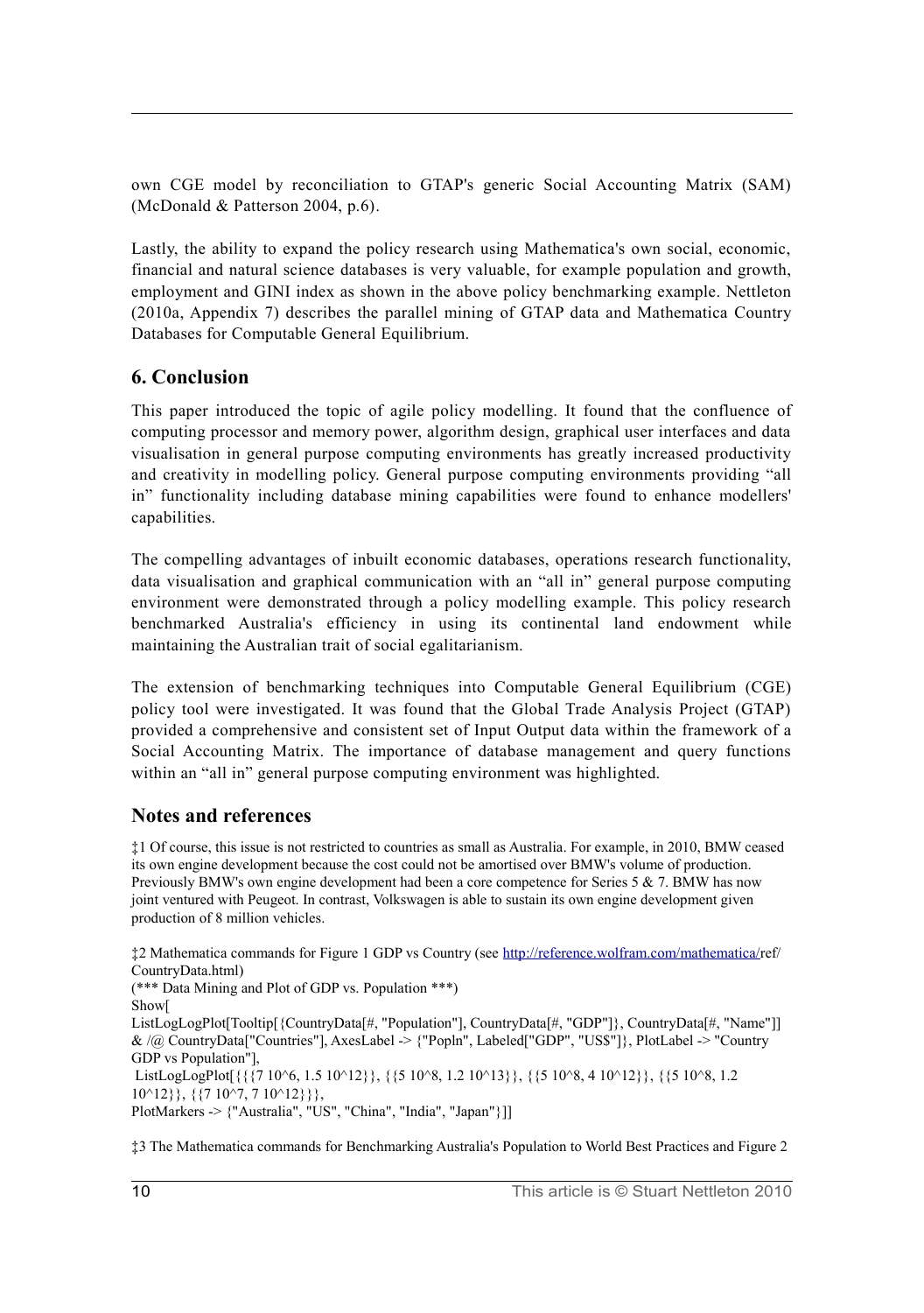own CGE model by reconciliation to GTAP's generic Social Accounting Matrix (SAM) (McDonald & Patterson 2004, p.6).

Lastly, the ability to expand the policy research using Mathematica's own social, economic, financial and natural science databases is very valuable, for example population and growth, employment and GINI index as shown in the above policy benchmarking example. Nettleton (2010a, Appendix 7) describes the parallel mining of GTAP data and Mathematica Country Databases for Computable General Equilibrium.

## **6. Conclusion**

This paper introduced the topic of agile policy modelling. It found that the confluence of computing processor and memory power, algorithm design, graphical user interfaces and data visualisation in general purpose computing environments has greatly increased productivity and creativity in modelling policy. General purpose computing environments providing "all in" functionality including database mining capabilities were found to enhance modellers' capabilities.

The compelling advantages of inbuilt economic databases, operations research functionality, data visualisation and graphical communication with an "all in" general purpose computing environment were demonstrated through a policy modelling example. This policy research benchmarked Australia's efficiency in using its continental land endowment while maintaining the Australian trait of social egalitarianism.

The extension of benchmarking techniques into Computable General Equilibrium (CGE) policy tool were investigated. It was found that the Global Trade Analysis Project (GTAP) provided a comprehensive and consistent set of Input Output data within the framework of a Social Accounting Matrix. The importance of database management and query functions within an "all in" general purpose computing environment was highlighted.

## **Notes and references**

‡1 Of course, this issue is not restricted to countries as small as Australia. For example, in 2010, BMW ceased its own engine development because the cost could not be amortised over BMW's volume of production. Previously BMW's own engine development had been a core competence for Series 5 & 7. BMW has now joint ventured with Peugeot. In contrast, Volkswagen is able to sustain its own engine development given production of 8 million vehicles.

‡2 Mathematica commands for Figure 1 GDP vs Country (see [http://reference.wolfram.com/mathematica/r](http://reference.wolfram.com/mathematica/)ef/ CountryData.html) (\*\*\* Data Mining and Plot of GDP vs. Population \*\*\*) Show[

ListLogLogPlot[Tooltip[{CountryData[#, "Population"], CountryData[#, "GDP"]}, CountryData[#, "Name"]] & /@ CountryData["Countries"], AxesLabel -> {"Popln", Labeled["GDP", "US\$"]}, PlotLabel -> "Country GDP vs Population"], ListLogLogPlot[ $\{\{\{7\,10^\circ6, 1.5\,10^\circ12\}\}, \{\{5\,10^\circ8, 1.2\,10^\circ13\}\}, \{\{5\,10^\circ8, 4\,10^\circ12\}\}, \{\{5\,10^\circ8, 1.2\,10^\circ8, 1.2\,10^\circ8\} \}$ 

10^12}}, {{7 10^7, 7 10^12}}}, PlotMarkers -> {"Australia", "US", "China", "India", "Japan"}]]

‡3 The Mathematica commands for Benchmarking Australia's Population to World Best Practices and Figure 2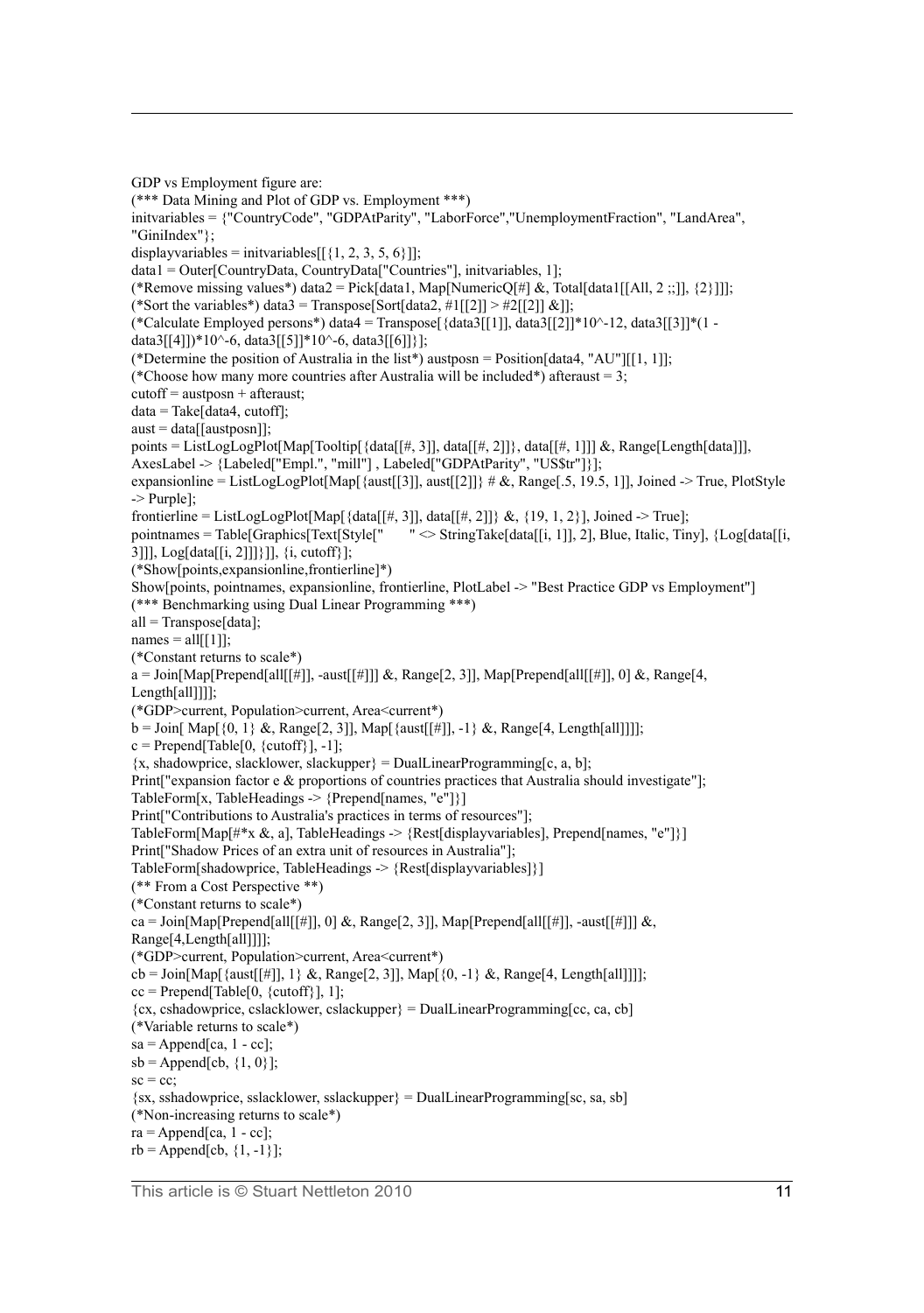GDP vs Employment figure are: (\*\*\* Data Mining and Plot of GDP vs. Employment \*\*\*) initvariables = {"CountryCode", "GDPAtParity", "LaborForce","UnemploymentFraction", "LandArea", "GiniIndex"}; displayvariables = initvariables $[[{1, 2, 3, 5, 6}]$ ]; data1 = Outer[CountryData, CountryData["Countries"], initvariables, 1]; (\*Remove missing values\*) data2 = Pick[data1, Map[NumericQ[#] &, Total[data1[[All, 2 ;;]], {2}]]]; (\*Sort the variables\*) data3 = Transpose[Sort[data2,  $\#1[[2]] > \#2[[2]] \&$ ]]; (\*Calculate Employed persons\*) data4 = Transpose[{data3[[1]], data3[[2]]\*10^-12, data3[[3]]\*(1 data3[[4]])\*10^-6, data3[[5]]\*10^-6, data3[[6]]}]; (\*Determine the position of Australia in the list\*) austposn = Position [data4, "AU"][[1, 1]]; (\*Choose how many more countries after Australia will be included\*) afteraust  $= 3$ ;  $cutoff = austposn + afteraust;$  $data = Take[data4, cutoff];$  $aust = data[faustposn]$ : points = ListLogLogPlot[Map[Tooltip[{data[[#, 3]], data[[#, 2]]}, data[[#, 1]]] &, Range[Length[data]]], AxesLabel -> {Labeled["Empl.", "mill"] , Labeled["GDPAtParity", "US\$tr"]}]; expansionline = ListLogLogPlot[Map[{aust[[3]], aust[[2]]} # &, Range[.5, 19.5, 1]], Joined -> True, PlotStyle -> Purple]; frontierline = ListLogLogPlot[Map[{data[[#, 3]], data[[#, 2]]} &, {19, 1, 2}], Joined -> True]; pointnames = Table[Graphics[Text[Style["  $\degree$   $\degree$  StringTake[data[[i, 1]], 2], Blue, Italic, Tiny], {Log[data[[i, 3]]], Log[data[[i, 2]]]}]], {i, cutoff}]; (\*Show[points,expansionline,frontierline]\*) Show[points, pointnames, expansionline, frontierline, PlotLabel -> "Best Practice GDP vs Employment"] (\*\*\* Benchmarking using Dual Linear Programming \*\*\*) all = Transpose[data]; names  $=$  all $[[1]]$ ; (\*Constant returns to scale\*)  $a =$  Join[Map[Prepend[all[[#]], -aust[[#]]]  $\&$ , Range[2, 3]], Map[Prepend[all[[#]], 0]  $\&$ , Range[4, Length[all]]]]; (\*GDP>current, Population>current, Area<current\*)  $b =$  Join[ Map[ $\{0, 1\}$  &, Range[2, 3]], Map[ $\{aust[[\#]], -1\}$  &, Range[4, Length[all]]]];  $c =$  Prepend[Table[0, {cutoff}], -1];  ${x, shadowprice, slacklower, slackupper} = DualLinearProgramming[c, a, b];$ Print ["expansion factor e & proportions of countries practices that Australia should investigate"]; TableForm[x, TableHeadings -> {Prepend[names, "e"]}] Print["Contributions to Australia's practices in terms of resources"]; TableForm[Map[#\*x &, a], TableHeadings  $\geq$  {Rest[displayvariables], Prepend[names, "e"]}] Print["Shadow Prices of an extra unit of resources in Australia"]; TableForm[shadowprice, TableHeadings -> {Rest[displayvariables]}] (\*\* From a Cost Perspective \*\*) (\*Constant returns to scale\*) ca = Join[Map[Prepend[all[[#]], 0] &, Range[2, 3]], Map[Prepend[all[[#]], -aust[[#]]] &, Range[4,Length[all]]]]; (\*GDP>current, Population>current, Area<current\*) cb = Join[Map[{aust[[#]], 1} &, Range[2, 3]], Map[{0, -1} &, Range[4, Length[all]]]];  $cc =$  Prepend [Table [0, {cutoff}], 1];  ${cx, cshadowprice, cslacklower, cslackupper} = DualLinearProgramming[cc, ca, cb]$ (\*Variable returns to scale\*)  $sa = Appendixa, 1 - cc$ ;  $sb = Appendixe[1, 0]$ ;  $\text{sc} = \text{cc}$ ;  ${s, s}$  sshadowprice, sslacklower, sslackupper ${} =$ DualLinearProgramming $[sc, sa, sb]$ (\*Non-increasing returns to scale\*)  $ra = Appendixa, 1 - cc$ ;  $rb = Appendixo[cb, {1, -1}]$ ;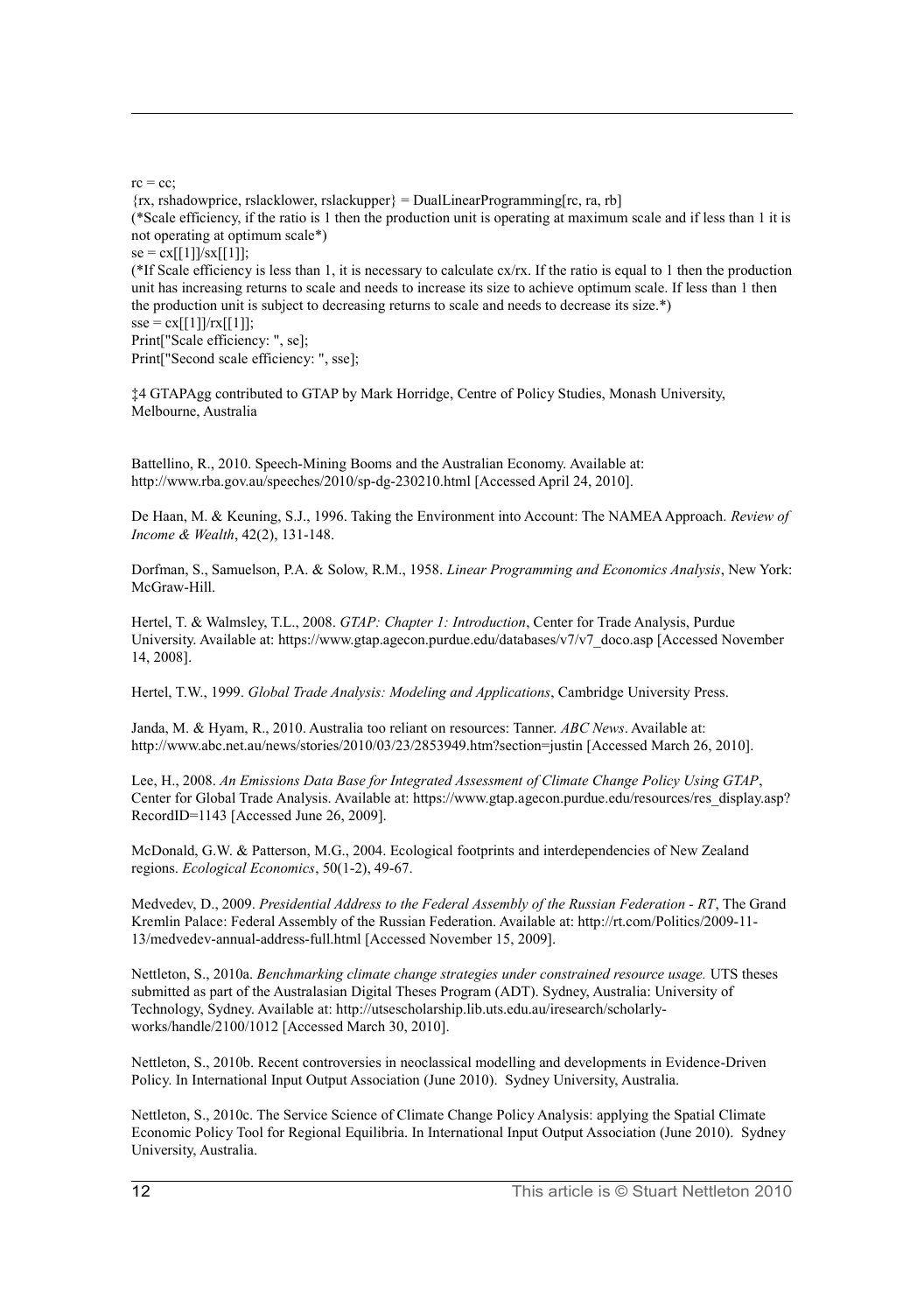$re = ce$ ;

 ${x, rshadowprice, rslacklower, rslackupper} = DualLinearProgramming[rc, ra, rb]$ 

(\*Scale efficiency, if the ratio is 1 then the production unit is operating at maximum scale and if less than 1 it is not operating at optimum scale\*)

 $se = cx[[1]]/sx[[1]];$ 

(\*If Scale efficiency is less than 1, it is necessary to calculate  $cx/rx$ . If the ratio is equal to 1 then the production unit has increasing returns to scale and needs to increase its size to achieve optimum scale. If less than 1 then the production unit is subject to decreasing returns to scale and needs to decrease its size.\*)

 $\text{sse} = \text{cx}[[1]]/\text{rx}[[1]]$ ; Print["Scale efficiency: ", se];

Print["Second scale efficiency: ", sse];

‡4 GTAPAgg contributed to GTAP by Mark Horridge, Centre of Policy Studies, Monash University, Melbourne, Australia

Battellino, R., 2010. Speech-Mining Booms and the Australian Economy. Available at: http://www.rba.gov.au/speeches/2010/sp-dg-230210.html [Accessed April 24, 2010].

De Haan, M. & Keuning, S.J., 1996. Taking the Environment into Account: The NAMEA Approach. *Review of Income & Wealth*, 42(2), 131-148.

Dorfman, S., Samuelson, P.A. & Solow, R.M., 1958. *Linear Programming and Economics Analysis*, New York: McGraw-Hill.

Hertel, T. & Walmsley, T.L., 2008. *GTAP: Chapter 1: Introduction*, Center for Trade Analysis, Purdue University. Available at: https://www.gtap.agecon.purdue.edu/databases/v7/v7\_doco.asp [Accessed November 14, 2008].

Hertel, T.W., 1999. *Global Trade Analysis: Modeling and Applications*, Cambridge University Press.

Janda, M. & Hyam, R., 2010. Australia too reliant on resources: Tanner. *ABC News*. Available at: http://www.abc.net.au/news/stories/2010/03/23/2853949.htm?section=justin [Accessed March 26, 2010].

Lee, H., 2008. *An Emissions Data Base for Integrated Assessment of Climate Change Policy Using GTAP*, Center for Global Trade Analysis. Available at: https://www.gtap.agecon.purdue.edu/resources/res\_display.asp? RecordID=1143 [Accessed June 26, 2009].

McDonald, G.W. & Patterson, M.G., 2004. Ecological footprints and interdependencies of New Zealand regions. *Ecological Economics*, 50(1-2), 49-67.

Medvedev, D., 2009. *Presidential Address to the Federal Assembly of the Russian Federation - RT*, The Grand Kremlin Palace: Federal Assembly of the Russian Federation. Available at: http://rt.com/Politics/2009-11- 13/medvedev-annual-address-full.html [Accessed November 15, 2009].

Nettleton, S., 2010a. *Benchmarking climate change strategies under constrained resource usage.* UTS theses submitted as part of the Australasian Digital Theses Program (ADT). Sydney, Australia: University of Technology, Sydney. Available at: http://utsescholarship.lib.uts.edu.au/iresearch/scholarlyworks/handle/2100/1012 [Accessed March 30, 2010].

Nettleton, S., 2010b. Recent controversies in neoclassical modelling and developments in Evidence-Driven Policy. In International Input Output Association (June 2010). Sydney University, Australia.

Nettleton, S., 2010c. The Service Science of Climate Change Policy Analysis: applying the Spatial Climate Economic Policy Tool for Regional Equilibria. In International Input Output Association (June 2010). Sydney University, Australia.